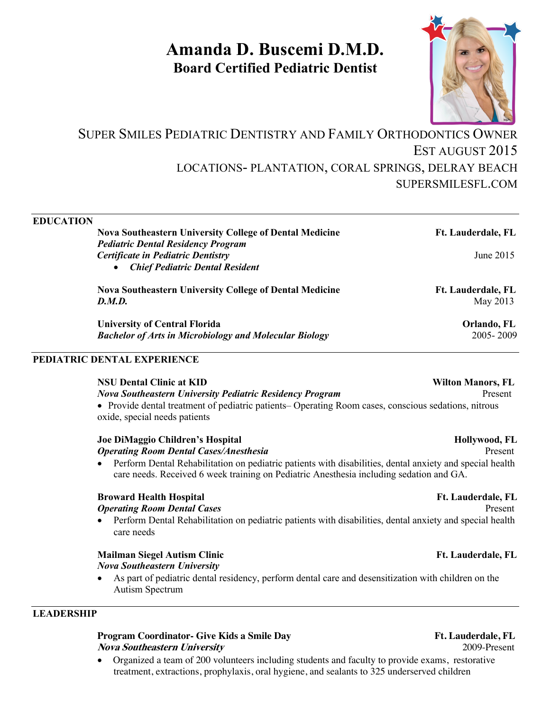# **Amanda D. Buscemi D.M.D. Board Certified Pediatric Dentist**



## SUPER SMILES PEDIATRIC DENTISTRY AND FAMILY ORTHODONTICS OWNER EST AUGUST 2015 LOCATIONS- PLANTATION, CORAL SPRINGS, DELRAY BEACH SUPERSMILESFL.COM

| <b>EDUCATION</b> |                                                                 |                          |
|------------------|-----------------------------------------------------------------|--------------------------|
|                  | <b>Nova Southeastern University College of Dental Medicine</b>  | Ft. Lauderdale, FL       |
|                  | <b>Pediatric Dental Residency Program</b>                       |                          |
|                  | <b>Certificate in Pediatric Dentistry</b>                       | June 2015                |
|                  | <b>Chief Pediatric Dental Resident</b>                          |                          |
|                  | <b>Nova Southeastern University College of Dental Medicine</b>  | Ft. Lauderdale, FL       |
|                  | D.M.D.                                                          | May 2013                 |
|                  | <b>University of Central Florida</b>                            | Orlando, FL              |
|                  | <b>Bachelor of Arts in Microbiology and Molecular Biology</b>   | 2005-2009                |
|                  | PEDIATRIC DENTAL EXPERIENCE                                     |                          |
|                  | <b>NSU Dental Clinic at KID</b>                                 | <b>Wilton Manors, FL</b> |
|                  | <b>Nova Southeastern University Pediatric Residency Program</b> | Present                  |

• Provide dental treatment of pediatric patients– Operating Room cases, conscious sedations, nitrous oxide, special needs patients

### **Joe DiMaggio Children's Hospital <br>
Hollywood, FL** *Operating Room Dental Cases/Anesthesia* Present

• Perform Dental Rehabilitation on pediatric patients with disabilities, dental anxiety and special health care needs. Received 6 week training on Pediatric Anesthesia including sedation and GA.

### **Broward Health Hospital Ft. Lauderdale, FL**

### *Operating Room Dental Cases* Present

• Perform Dental Rehabilitation on pediatric patients with disabilities, dental anxiety and special health care needs

## **Mailman Siegel Autism Clinic Community Community Community Community Community Community Community Community Community Community Community Community Community Community Community Community Community Community Community Co**

- *Nova Southeastern University*
- As part of pediatric dental residency, perform dental care and desensitization with children on the Autism Spectrum

### **LEADERSHIP**

### **Program Coordinator- Give Kids a Smile Day Ft. Lauderdale, FL**<br> *Nova Southeastern University* 2009-Present **Nova Southeastern University**

• Organized a team of 200 volunteers including students and faculty to provide exams, restorative treatment, extractions, prophylaxis, oral hygiene, and sealants to 325 underserved children